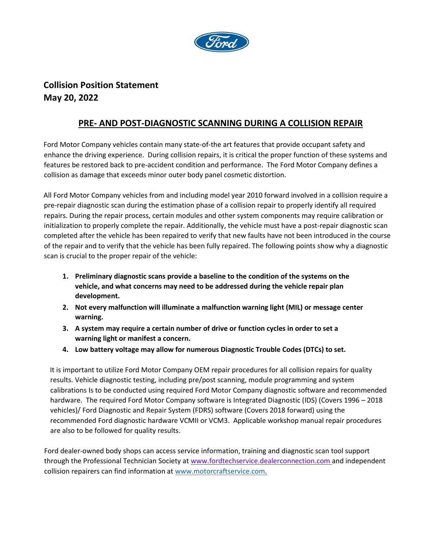

## **Collision Position Statement May 20, 2022**

## **PRE- AND POST-DIAGNOSTIC SCANNING DURING A COLLISION REPAIR**

Ford Motor Company vehicles contain many state-of-the art features that provide occupant safety and enhance the driving experience. During collision repairs, it is critical the proper function of these systems and features be restored back to pre-accident condition and performance. The Ford Motor Company defines a collision as damage that exceeds minor outer body panel cosmetic distortion.

All Ford Motor Company vehicles from and including model year 2010 forward involved in a collision require a pre-repair diagnostic scan during the estimation phase of a collision repair to properly identify all required repairs. During the repair process, certain modules and other system components may require calibration or initialization to properly complete the repair. Additionally, the vehicle must have a post-repair diagnostic scan completed after the vehicle has been repaired to verify that new faults have not been introduced in the course of the repair and to verify that the vehicle has been fully repaired. The following points show why a diagnostic scan is crucial to the proper repair of the vehicle:

- **1. Preliminary diagnostic scans provide a baseline to the condition of the systems on the vehicle, and what concerns may need to be addressed during the vehicle repair plan development.**
- **2. Not every malfunction will illuminate a malfunction warning light (MIL) or message center warning.**
- **3. A system may require a certain number of drive or function cycles in order to set a warning light or manifest a concern.**
- **4. Low battery voltage may allow for numerous Diagnostic Trouble Codes (DTCs) to set.**

It is important to utilize Ford Motor Company OEM repair procedures for all collision repairs for quality results. Vehicle diagnostic testing, including pre/post scanning, module programming and system calibrations Is to be conducted using required Ford Motor Company diagnostic software and recommended hardware. The required Ford Motor Company software is Integrated Diagnostic (IDS) (Covers 1996 – 2018 vehicles)/ Ford Diagnostic and Repair System (FDRS) software (Covers 2018 forward) using the recommended Ford diagnostic hardware VCMII or VCM3. Applicable workshop manual repair procedures are also to be followed for quality results.

Ford dealer-owned body shops can access service information, training and diagnostic scan tool support through the Professional Technician Society at www.fordtechservice.dealerconnection.com and independent collision repairers can find information at [www.motorcraftservice.com.](http://www.motorcraftservice.com/)